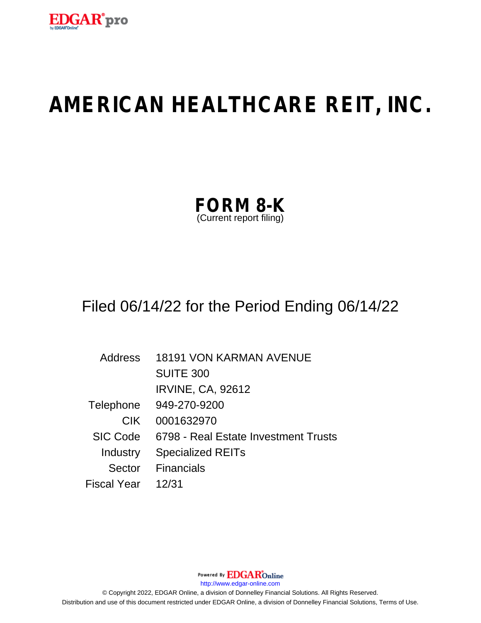

# **AMERICAN HEALTHCARE REIT, INC.**

| <b>FORM 8-K</b>         |  |
|-------------------------|--|
| (Current report filing) |  |

# Filed 06/14/22 for the Period Ending 06/14/22

| Address            | <b>18191 VON KARMAN AVENUE</b>       |
|--------------------|--------------------------------------|
|                    | <b>SUITE 300</b>                     |
|                    | <b>IRVINE, CA, 92612</b>             |
| Telephone          | 949-270-9200                         |
| <b>CIK</b>         | 0001632970                           |
| <b>SIC Code</b>    | 6798 - Real Estate Investment Trusts |
| Industry           | <b>Specialized REITs</b>             |
| Sector             | <b>Financials</b>                    |
| <b>Fiscal Year</b> | 12/31                                |

Powered By EDGAROnline http://www.edgar-online.com © Copyright 2022, EDGAR Online, a division of Donnelley Financial Solutions. All Rights Reserved. Distribution and use of this document restricted under EDGAR Online, a division of Donnelley Financial Solutions, Terms of Use.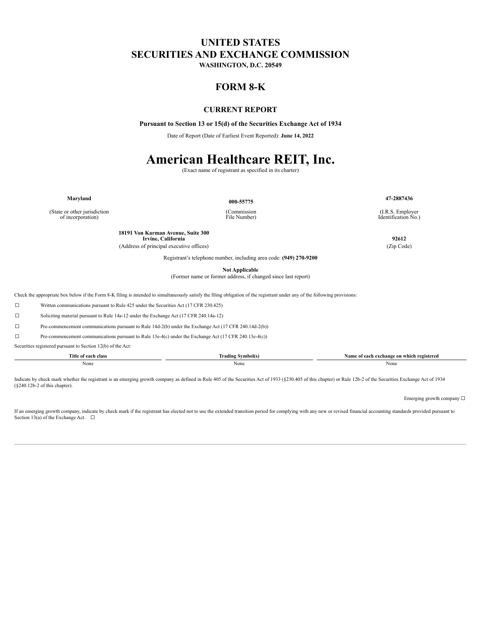### **UNITED STATES SECURITIES AND EXCHANGE COMMISSION**

WASHINGTON, D.C. 20549

### **FORM 8-K**

#### **CURRENT REPORT**

Pursuant to Section 13 or 15(d) of the Securities Exchange Act of 1934

Date of Report (Date of Earliest Event Reported): June 14, 2022

## **American Healthcare REIT, Inc.**

(Exact name of registrant as specified in its charter)

Maryland

000-55775

47-2887436

(I.R.S. Employer Identification No.)

18191 Von Karman Avenue, Suite 300 Irvine, California

(Address of principal executive offices)

Registrant's telephone number, including area code: (949) 270-9200

**Not Applicable** 

(Former name or former address, if changed since last report)

Check the appropriate box below if the Form 8-K filing is intended to simultaneously satisfy the filing obligation of the registrant under any of the following provisions:

 $\Box$ Written communications pursuant to Rule 425 under the Securities Act (17 CFR 230.425)

 $\Box$ Soliciting material pursuant to Rule 14a-12 under the Exchange Act (17 CFR 240.14a-12)

 $\Box$ Pre-commencement communications pursuant to Rule 14d-2(b) under the Exchange Act (17 CFR 240.14d-2(b))

 $\Box$ Pre-commencement communications pursuant to Rule 13e-4(c) under the Exchange Act (17 CFR 240.13e-4(c))

Securities registered pursuant to Section 12(b) of the Act:

| Title of each class | .,<br>Irading Symbol(s)<br>- | Name of each exchange on which registered |
|---------------------|------------------------------|-------------------------------------------|
| None                | None                         | None                                      |

Indicate by check mark whether the registrant is an emerging growth company as defined in Rule 405 of the Securities Act of 1933 (§230.405 of this chapter) or Rule 12b-2 of the Securities Exchange Act of 1934  $(8240.12b-2)$  of this chapter).

Emerging growth company  $\Box$ 

If an emerging growth company, indicate by check mark if the registrant has elected not to use the extended transition period for complying with any new or revised financial accounting standards provided pursuant to Section 13(a) of the Exchange Act.  $\Box$ 

(State or other jurisdiction of incorporation)

(Commission File Number)

92612

(Zip Code)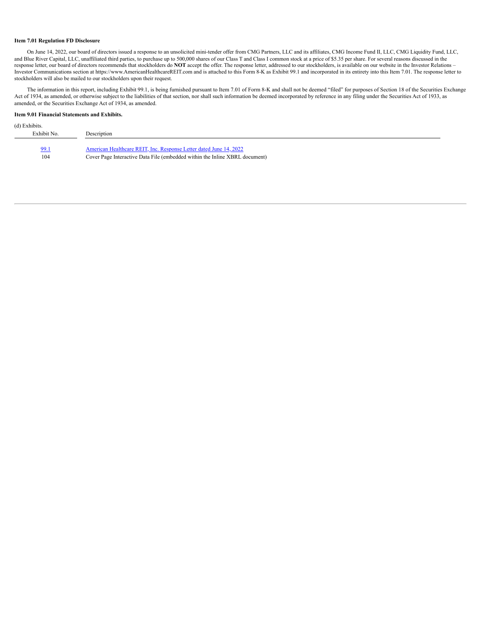#### **Item 7.01 Regulation FD Disclosure**

On June 14, 2022, our board of directors issued a response to an unsolicited mini-tender offer from CMG Partners, LLC and its affiliates, CMG Income Fund II, LLC, CMG Liquidity Fund, LLC, and Blue River Capital, LLC, unaffiliated third parties, to purchase up to 500,000 shares of our Class T and Class I common stock at a price of \$5.35 per share. For several reasons discussed in the response letter, our board of directors recommends that stockholders do **NOT** accept the offer. The response letter, addressed to our stockholders, is available on our website in the Investor Relations – Investor Communications section at https://www.AmericanHealthcareREIT.com and is attached to this Form 8-K as Exhibit 99.1 and incorporated in its entirety into this Item 7.01. The response letter to stockholders will also be mailed to our stockholders upon their request.

The information in this report, including Exhibit 99.1, is being furnished pursuant to Item 7.01 of Form 8-K and shall not be deemed "filed" for purposes of Section 18 of the Securities Exchange Act of 1934, as amended, or otherwise subject to the liabilities of that section, nor shall such information be deemed incorporated by reference in any filing under the Securities Act of 1933, as amended, or the Securities Exchange Act of 1934, as amended.

#### **Item 9.01 Financial Statements and Exhibits.**

| (d) Exhibits. |                                                                             |
|---------------|-----------------------------------------------------------------------------|
| Exhibit No.   | Description                                                                 |
|               |                                                                             |
| 99.1          | American Healthcare REIT, Inc. Response Letter dated June 14, 2022          |
| 104           | Cover Page Interactive Data File (embedded within the Inline XBRL document) |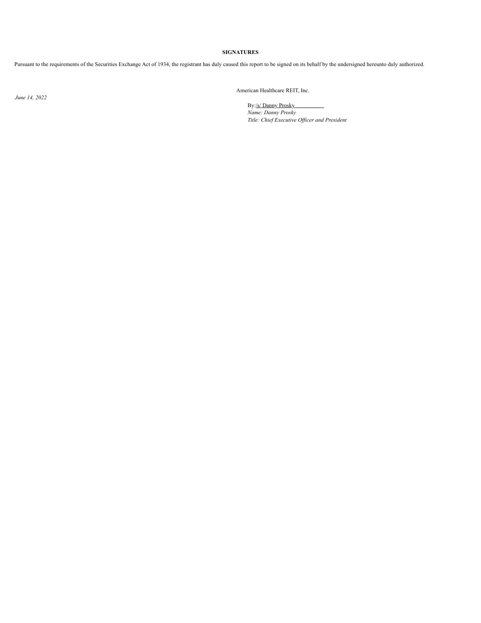#### **SIGNATURES**

Pursuant to the requirements of the Securities Exchange Act of 1934, the registrant has duly caused this report to be signed on its behalf by the undersigned hereunto duly authorized.

*June 14, 2022*

American Healthcare REIT, Inc.

By:/s/ Danny Prosky *Name: Danny Prosky Title: Chief Executive Of icer and President*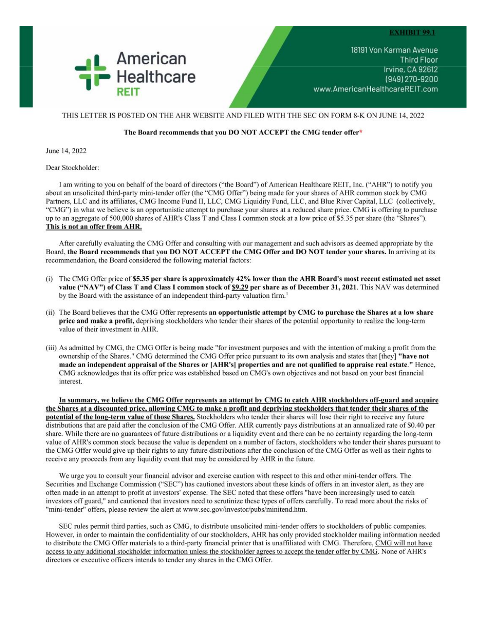#### **EXHIBIT 99.1**

<span id="page-4-0"></span>

18191 Von Karman Avenue **Third Floor** Irvine, CA 92612 (949) 270-9200 www.AmericanHealthcareREIT.com

#### THIS LETTER IS POSTED ON THE AHR WEBSITE AND FILED WITH THE SEC ON FORM 8-K ON JUNE 14, 2022

#### The Board recommends that you DO NOT ACCEPT the CMG tender offer\*

June 14, 2022

Dear Stockholder:

I am writing to you on behalf of the board of directors ("the Board") of American Healthcare REIT, Inc. ("AHR") to notify you about an unsolicited third-party mini-tender offer (the "CMG Offer") being made for your shares of AHR common stock by CMG Partners, LLC and its affiliates, CMG Income Fund II, LLC, CMG Liquidity Fund, LLC, and Blue River Capital, LLC (collectively, "CMG") in what we believe is an opportunistic attempt to purchase your shares at a reduced share price. CMG is offering to purchase up to an aggregate of 500,000 shares of AHR's Class T and Class I common stock at a low price of \$5.35 per share (the "Shares"). This is not an offer from AHR.

After carefully evaluating the CMG Offer and consulting with our management and such advisors as deemed appropriate by the Board, the Board recommends that you DO NOT ACCEPT the CMG Offer and DO NOT tender your shares. In arriving at its recommendation, the Board considered the following material factors:

- (i) The CMG Offer price of \$5.35 per share is approximately 42% lower than the AHR Board's most recent estimated net asset value ("NAV") of Class T and Class I common stock of \$9.29 per share as of December 31, 2021. This NAV was determined by the Board with the assistance of an independent third-party valuation firm.<sup>1</sup>
- (ii) The Board believes that the CMG Offer represents an opportunistic attempt by CMG to purchase the Shares at a low share price and make a profit, depriving stockholders who tender their shares of the potential opportunity to realize the long-term value of their investment in AHR.
- (iii) As admitted by CMG, the CMG Offer is being made "for investment purposes and with the intention of making a profit from the ownership of the Shares." CMG determined the CMG Offer price pursuant to its own analysis and states that [they] "have not made an independent appraisal of the Shares or [AHR's] properties and are not qualified to appraise real estate." Hence, CMG acknowledges that its offer price was established based on CMG's own objectives and not based on your best financial interest.

In summary, we believe the CMG Offer represents an attempt by CMG to catch AHR stockholders off-guard and acquire the Shares at a discounted price, allowing CMG to make a profit and depriving stockholders that tender their shares of the potential of the long-term value of those Shares. Stockholders who tender their shares will lose their right to receive any future distributions that are paid after the conclusion of the CMG Offer. AHR currently pays distributions at an annualized rate of \$0.40 per share. While there are no guarantees of future distributions or a liquidity event and there can be no certainty regarding the long-term value of AHR's common stock because the value is dependent on a number of factors, stockholders who tender their shares pursuant to the CMG Offer would give up their rights to any future distributions after the conclusion of the CMG Offer as well as their rights to receive any proceeds from any liquidity event that may be considered by AHR in the future.

We urge you to consult your financial advisor and exercise caution with respect to this and other mini-tender offers. The Securities and Exchange Commission ("SEC") has cautioned investors about these kinds of offers in an investor alert, as they are often made in an attempt to profit at investors' expense. The SEC noted that these offers "have been increasingly used to catch investors off guard," and cautioned that investors need to scrutinize these types of offers carefully. To read more about the risks of "mini-tender" offers, please review the alert at www.sec.gov/investor/pubs/minitend.htm.

SEC rules permit third parties, such as CMG, to distribute unsolicited mini-tender offers to stockholders of public companies. However, in order to maintain the confidentiality of our stockholders, AHR has only provided stockholder mailing information needed to distribute the CMG Offer materials to a third-party financial printer that is unaffiliated with CMG. Therefore, CMG will not have access to any additional stockholder information unless the stockholder agrees to accept the tender offer by CMG. None of AHR's directors or executive officers intends to tender any shares in the CMG Offer.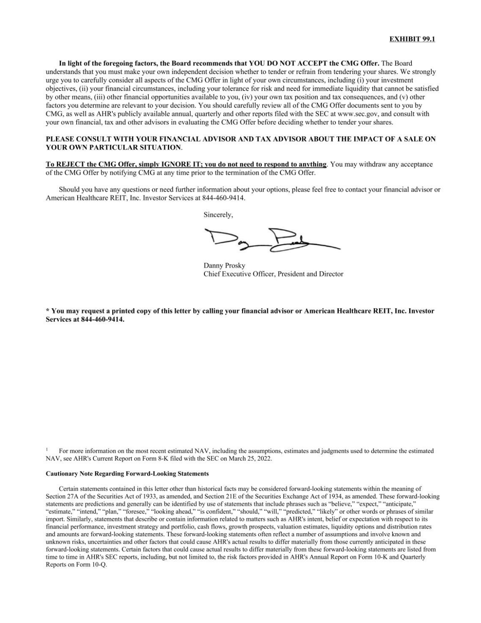In light of the foregoing factors, the Board recommends that YOU DO NOT ACCEPT the CMG Offer. The Board understands that you must make your own independent decision whether to tender or refrain from tendering your shares. We strongly urge you to carefully consider all aspects of the CMG Offer in light of your own circumstances, including (i) your investment objectives, (ii) your financial circumstances, including your tolerance for risk and need for immediate liquidity that cannot be satisfied by other means, (iii) other financial opportunities available to you, (iv) your own tax position and tax consequences, and (v) other factors you determine are relevant to your decision. You should carefully review all of the CMG Offer documents sent to you by CMG, as well as AHR's publicly available annual, quarterly and other reports filed with the SEC at www.sec.gov, and consult with your own financial, tax and other advisors in evaluating the CMG Offer before deciding whether to tender your shares.

#### PLEASE CONSULT WITH YOUR FINANCIAL ADVISOR AND TAX ADVISOR ABOUT THE IMPACT OF A SALE ON YOUR OWN PARTICULAR SITUATION.

To REJECT the CMG Offer, simply IGNORE IT; you do not need to respond to anything. You may withdraw any acceptance of the CMG Offer by notifying CMG at any time prior to the termination of the CMG Offer.

Should you have any questions or need further information about your options, please feel free to contact your financial advisor or American Healthcare REIT, Inc. Investor Services at 844-460-9414.

Sincerely,

Danny Prosky Chief Executive Officer, President and Director

\* You may request a printed copy of this letter by calling your financial advisor or American Healthcare REIT, Inc. Investor Services at 844-460-9414.

For more information on the most recent estimated NAV, including the assumptions, estimates and judgments used to determine the estimated NAV, see AHR's Current Report on Form 8-K filed with the SEC on March 25, 2022.

#### **Cautionary Note Regarding Forward-Looking Statements**

Certain statements contained in this letter other than historical facts may be considered forward-looking statements within the meaning of Section 27A of the Securities Act of 1933, as amended, and Section 21E of the Securities Exchange Act of 1934, as amended. These forward-looking statements are predictions and generally can be identified by use of statements that include phrases such as "believe," "expect," "anticipate," "estimate," "intend," "plan," "foresee," "looking ahead," "is confident," "should," "will," "predicted," "likely" or other words or phrases of similar import. Similarly, statements that describe or contain information rela financial performance, investment strategy and portfolio, cash flows, growth prospects, valuation estimates, liquidity options and distribution rates and amounts are forward-looking statements. These forward-looking statements often reflect a number of assumptions and involve known and unknown risks, uncertainties and other factors that could cause AHR's actual results to differ materially from those currently anticipated in these forward-looking statements. Certain factors that could cause actual results to differ materially from these forward-looking statements are listed from time to time in AHR's SEC reports, including, but not limited to, the risk factors provided in AHR's Annual Report on Form 10-K and Quarterly Reports on Form 10-Q.